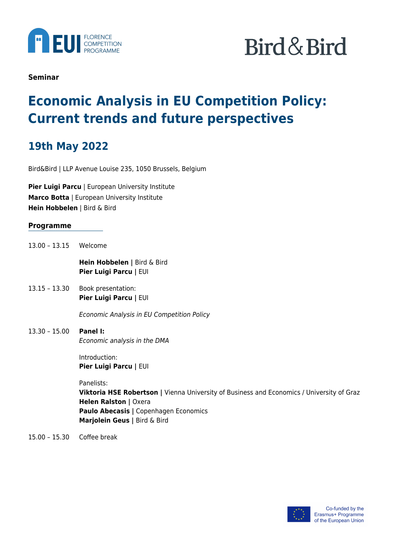

# Bird & Bird

**Seminar**

## **Economic Analysis in EU Competition Policy: Current trends and future perspectives**

## **19th May 2022**

Bird&Bird | LLP Avenue Louise 235, 1050 Brussels, Belgium

**Pier Luigi Parcu** | European University Institute **Marco Botta** | European University Institute **Hein Hobbelen** | Bird & Bird

### **Programme**

13.00 – 13.15 Welcome

**Hein Hobbelen |** Bird & Bird **Pier Luigi Parcu |** EUI

13.15 – 13.30 Book presentation: **Pier Luigi Parcu |** EUI

Economic Analysis in EU Competition Policy

13.30 – 15.00 **Panel I:** Economic analysis in the DMA

> Introduction: **Pier Luigi Parcu |** EUI

Panelists:

**Viktoria HSE Robertson |** Vienna University of Business and Economics / University of Graz **Helen Ralston | Oxera Paulo Abecasis |** Copenhagen Economics **Marjolein Geus |** Bird & Bird

15.00 – 15.30 Coffee break